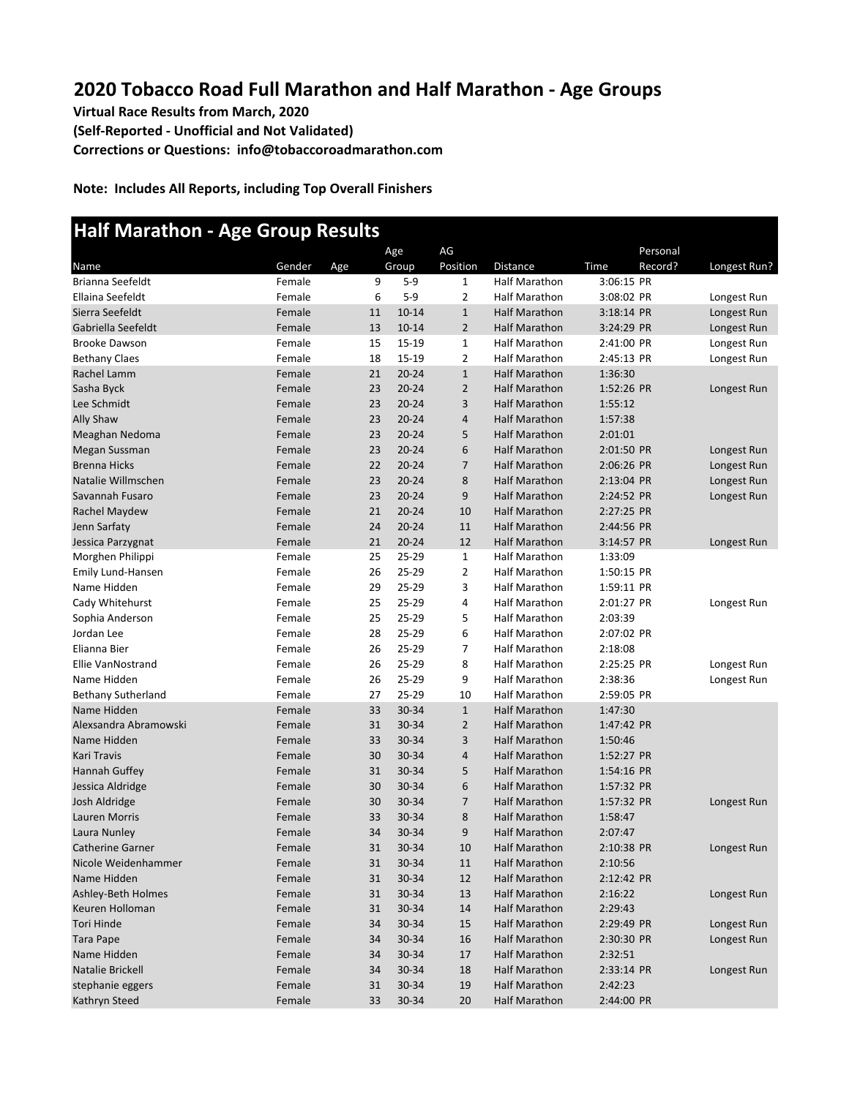## **2020 Tobacco Road Full Marathon and Half Marathon - Age Groups**

**Virtual Race Results from March, 2020 (Self-Reported - Unofficial and Not Validated) Corrections or Questions: info@tobaccoroadmarathon.com**

**Note: Includes All Reports, including Top Overall Finishers**

## **Half Marathon - Age Group Results**

|                           |        |     |    | Age       | AG             |                      |            | Personal |              |
|---------------------------|--------|-----|----|-----------|----------------|----------------------|------------|----------|--------------|
| Name                      | Gender | Age |    | Group     | Position       | Distance             | Time       | Record?  | Longest Run? |
| Brianna Seefeldt          | Female |     | 9  | $5-9$     | $\mathbf{1}$   | <b>Half Marathon</b> | 3:06:15 PR |          |              |
| Ellaina Seefeldt          | Female |     | 6  | $5-9$     | $\overline{2}$ | <b>Half Marathon</b> | 3:08:02 PR |          | Longest Run  |
| Sierra Seefeldt           | Female |     | 11 | $10 - 14$ | $\mathbf{1}$   | <b>Half Marathon</b> | 3:18:14 PR |          | Longest Run  |
| Gabriella Seefeldt        | Female |     | 13 | $10 - 14$ | $\overline{2}$ | <b>Half Marathon</b> | 3:24:29 PR |          | Longest Run  |
| <b>Brooke Dawson</b>      | Female |     | 15 | 15-19     | $\mathbf 1$    | <b>Half Marathon</b> | 2:41:00 PR |          | Longest Run  |
| <b>Bethany Claes</b>      | Female |     | 18 | 15-19     | $\overline{2}$ | <b>Half Marathon</b> | 2:45:13 PR |          | Longest Run  |
| Rachel Lamm               | Female |     | 21 | $20 - 24$ | $\mathbf{1}$   | <b>Half Marathon</b> | 1:36:30    |          |              |
| Sasha Byck                | Female |     | 23 | $20 - 24$ | $\overline{2}$ | <b>Half Marathon</b> | 1:52:26 PR |          | Longest Run  |
| Lee Schmidt               | Female |     | 23 | $20 - 24$ | 3              | <b>Half Marathon</b> | 1:55:12    |          |              |
| Ally Shaw                 | Female |     | 23 | $20 - 24$ | $\overline{4}$ | <b>Half Marathon</b> | 1:57:38    |          |              |
| Meaghan Nedoma            | Female |     | 23 | $20 - 24$ | 5              | <b>Half Marathon</b> | 2:01:01    |          |              |
| Megan Sussman             | Female |     | 23 | $20 - 24$ | 6              | <b>Half Marathon</b> | 2:01:50 PR |          | Longest Run  |
| <b>Brenna Hicks</b>       | Female |     | 22 | $20 - 24$ | $\overline{7}$ | <b>Half Marathon</b> | 2:06:26 PR |          | Longest Run  |
| Natalie Willmschen        | Female |     | 23 | $20 - 24$ | 8              | <b>Half Marathon</b> | 2:13:04 PR |          | Longest Run  |
| Savannah Fusaro           | Female |     | 23 | $20 - 24$ | 9              | <b>Half Marathon</b> | 2:24:52 PR |          | Longest Run  |
| Rachel Maydew             | Female |     | 21 | $20 - 24$ | 10             | <b>Half Marathon</b> | 2:27:25 PR |          |              |
| Jenn Sarfaty              | Female |     | 24 | $20 - 24$ | 11             | <b>Half Marathon</b> | 2:44:56 PR |          |              |
| Jessica Parzygnat         | Female |     | 21 | $20 - 24$ | 12             | <b>Half Marathon</b> | 3:14:57 PR |          | Longest Run  |
| Morghen Philippi          | Female |     | 25 | 25-29     | $\mathbf{1}$   | <b>Half Marathon</b> | 1:33:09    |          |              |
| <b>Emily Lund-Hansen</b>  | Female |     | 26 | 25-29     | $\overline{2}$ | Half Marathon        | 1:50:15 PR |          |              |
| Name Hidden               | Female |     | 29 | 25-29     | 3              | <b>Half Marathon</b> | 1:59:11 PR |          |              |
| Cady Whitehurst           | Female |     | 25 | 25-29     | 4              | <b>Half Marathon</b> | 2:01:27 PR |          | Longest Run  |
| Sophia Anderson           | Female |     | 25 | 25-29     | 5              | <b>Half Marathon</b> | 2:03:39    |          |              |
| Jordan Lee                | Female |     | 28 | 25-29     | 6              | <b>Half Marathon</b> | 2:07:02 PR |          |              |
| Elianna Bier              | Female |     | 26 | 25-29     | $\overline{7}$ | <b>Half Marathon</b> | 2:18:08    |          |              |
| Ellie VanNostrand         | Female |     | 26 | 25-29     | 8              | <b>Half Marathon</b> | 2:25:25 PR |          | Longest Run  |
| Name Hidden               | Female |     | 26 | 25-29     | 9              | <b>Half Marathon</b> | 2:38:36    |          | Longest Run  |
| <b>Bethany Sutherland</b> | Female |     | 27 | 25-29     | 10             | <b>Half Marathon</b> | 2:59:05 PR |          |              |
| Name Hidden               | Female |     | 33 | 30-34     | $\mathbf{1}$   | <b>Half Marathon</b> | 1:47:30    |          |              |
| Alexsandra Abramowski     | Female |     | 31 | 30-34     | $\overline{2}$ | <b>Half Marathon</b> | 1:47:42 PR |          |              |
| Name Hidden               | Female |     | 33 | 30-34     | 3              | <b>Half Marathon</b> | 1:50:46    |          |              |
| Kari Travis               | Female |     | 30 | 30-34     | $\overline{4}$ | <b>Half Marathon</b> | 1:52:27 PR |          |              |
| Hannah Guffey             | Female |     | 31 | 30-34     | 5              | <b>Half Marathon</b> | 1:54:16 PR |          |              |
| Jessica Aldridge          | Female |     | 30 | 30-34     | 6              | <b>Half Marathon</b> | 1:57:32 PR |          |              |
| Josh Aldridge             | Female |     | 30 | 30-34     | $\overline{7}$ | <b>Half Marathon</b> | 1:57:32 PR |          | Longest Run  |
| Lauren Morris             | Female |     | 33 | 30-34     | 8              | <b>Half Marathon</b> | 1:58:47    |          |              |
| Laura Nunley              | Female |     | 34 | 30-34     | 9              | <b>Half Marathon</b> | 2:07:47    |          |              |
| <b>Catherine Garner</b>   | Female |     | 31 | 30-34     | 10             | <b>Half Marathon</b> | 2:10:38 PR |          | Longest Run  |
| Nicole Weidenhammer       | Female |     | 31 | 30-34     | $11\,$         | <b>Half Marathon</b> | 2:10:56    |          |              |
| Name Hidden               | Female |     | 31 | 30-34     | 12             | <b>Half Marathon</b> | 2:12:42 PR |          |              |
| Ashley-Beth Holmes        | Female |     | 31 | 30-34     | 13             | <b>Half Marathon</b> | 2:16:22    |          | Longest Run  |
| Keuren Holloman           | Female |     | 31 | 30-34     | 14             | <b>Half Marathon</b> | 2:29:43    |          |              |
| <b>Tori Hinde</b>         | Female |     | 34 | 30-34     | 15             | <b>Half Marathon</b> | 2:29:49 PR |          | Longest Run  |
| Tara Pape                 | Female |     | 34 | 30-34     | 16             | <b>Half Marathon</b> | 2:30:30 PR |          | Longest Run  |
| Name Hidden               | Female |     | 34 | 30-34     | 17             | <b>Half Marathon</b> | 2:32:51    |          |              |
| Natalie Brickell          | Female |     | 34 | 30-34     | 18             | <b>Half Marathon</b> | 2:33:14 PR |          | Longest Run  |
| stephanie eggers          | Female |     | 31 | 30-34     | 19             | <b>Half Marathon</b> | 2:42:23    |          |              |
| Kathryn Steed             | Female |     | 33 | 30-34     | 20             | <b>Half Marathon</b> | 2:44:00 PR |          |              |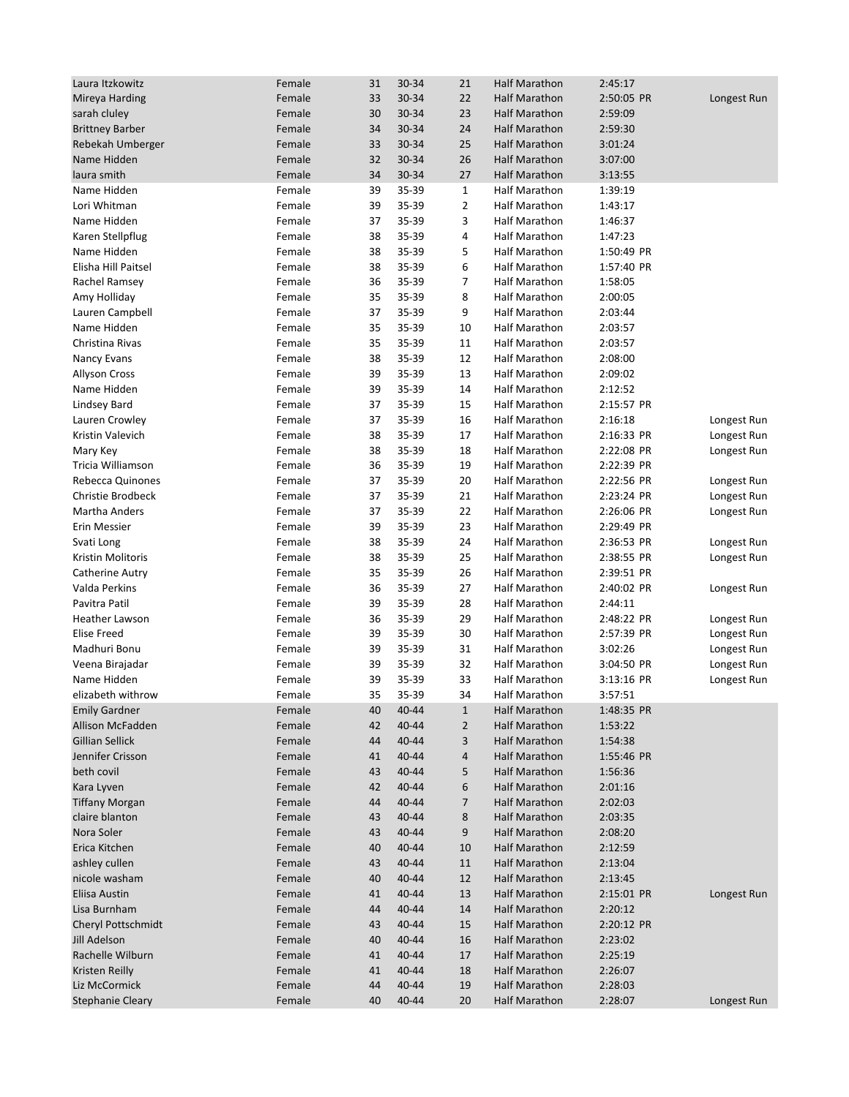| Laura Itzkowitz         | Female | 31       | 30-34          | 21             | Half Marathon                                | 2:45:17    |             |
|-------------------------|--------|----------|----------------|----------------|----------------------------------------------|------------|-------------|
| Mireya Harding          | Female | 33       | 30-34          | 22             | <b>Half Marathon</b>                         | 2:50:05 PR | Longest Run |
| sarah cluley            | Female | 30       | 30-34          | 23             | <b>Half Marathon</b>                         | 2:59:09    |             |
| <b>Brittney Barber</b>  | Female | 34       | 30-34          | 24             | <b>Half Marathon</b>                         | 2:59:30    |             |
| Rebekah Umberger        | Female | 33       | 30-34          | 25             | <b>Half Marathon</b>                         | 3:01:24    |             |
| Name Hidden             | Female | 32       | 30-34          | 26             | <b>Half Marathon</b>                         | 3:07:00    |             |
| laura smith             | Female | 34       | 30-34          | 27             | <b>Half Marathon</b>                         | 3:13:55    |             |
| Name Hidden             | Female | 39       | 35-39          | $\mathbf{1}$   | <b>Half Marathon</b>                         | 1:39:19    |             |
| Lori Whitman            | Female | 39       | 35-39          | $\overline{2}$ | Half Marathon                                | 1:43:17    |             |
| Name Hidden             | Female | 37       | 35-39          | 3              | <b>Half Marathon</b>                         | 1:46:37    |             |
| Karen Stellpflug        | Female | 38       | 35-39          | 4              | <b>Half Marathon</b>                         | 1:47:23    |             |
| Name Hidden             | Female |          | 35-39          | 5              | Half Marathon                                | 1:50:49 PR |             |
|                         | Female | 38       |                | 6              |                                              | 1:57:40 PR |             |
| Elisha Hill Paitsel     | Female | 38<br>36 | 35-39<br>35-39 | $\overline{7}$ | <b>Half Marathon</b><br><b>Half Marathon</b> |            |             |
| Rachel Ramsey           |        |          |                |                |                                              | 1:58:05    |             |
| Amy Holliday            | Female | 35       | 35-39          | 8              | Half Marathon                                | 2:00:05    |             |
| Lauren Campbell         | Female | 37       | 35-39          | 9              | <b>Half Marathon</b>                         | 2:03:44    |             |
| Name Hidden             | Female | 35       | 35-39          | 10             | <b>Half Marathon</b>                         | 2:03:57    |             |
| Christina Rivas         | Female | 35       | 35-39          | 11             | <b>Half Marathon</b>                         | 2:03:57    |             |
| Nancy Evans             | Female | 38       | 35-39          | 12             | Half Marathon                                | 2:08:00    |             |
| Allyson Cross           | Female | 39       | 35-39          | 13             | <b>Half Marathon</b>                         | 2:09:02    |             |
| Name Hidden             | Female | 39       | 35-39          | 14             | <b>Half Marathon</b>                         | 2:12:52    |             |
| <b>Lindsey Bard</b>     | Female | 37       | 35-39          | 15             | <b>Half Marathon</b>                         | 2:15:57 PR |             |
| Lauren Crowley          | Female | 37       | 35-39          | 16             | <b>Half Marathon</b>                         | 2:16:18    | Longest Run |
| Kristin Valevich        | Female | 38       | 35-39          | 17             | <b>Half Marathon</b>                         | 2:16:33 PR | Longest Run |
| Mary Key                | Female | 38       | 35-39          | 18             | <b>Half Marathon</b>                         | 2:22:08 PR | Longest Run |
| Tricia Williamson       | Female | 36       | 35-39          | 19             | Half Marathon                                | 2:22:39 PR |             |
| Rebecca Quinones        | Female | 37       | 35-39          | 20             | <b>Half Marathon</b>                         | 2:22:56 PR | Longest Run |
| Christie Brodbeck       | Female | 37       | 35-39          | 21             | Half Marathon                                | 2:23:24 PR | Longest Run |
| Martha Anders           | Female | 37       | 35-39          | 22             | <b>Half Marathon</b>                         | 2:26:06 PR | Longest Run |
| Erin Messier            | Female | 39       | 35-39          | 23             | <b>Half Marathon</b>                         | 2:29:49 PR |             |
| Svati Long              | Female | 38       | 35-39          | 24             | <b>Half Marathon</b>                         | 2:36:53 PR | Longest Run |
| Kristin Molitoris       | Female | 38       | 35-39          | 25             | Half Marathon                                | 2:38:55 PR | Longest Run |
| Catherine Autry         | Female | 35       | 35-39          | 26             | <b>Half Marathon</b>                         | 2:39:51 PR |             |
| Valda Perkins           | Female | 36       | 35-39          | 27             | <b>Half Marathon</b>                         | 2:40:02 PR | Longest Run |
| Pavitra Patil           | Female | 39       | 35-39          | 28             | <b>Half Marathon</b>                         | 2:44:11    |             |
| <b>Heather Lawson</b>   | Female | 36       | 35-39          | 29             | <b>Half Marathon</b>                         | 2:48:22 PR | Longest Run |
| <b>Elise Freed</b>      | Female | 39       | 35-39          | 30             | Half Marathon                                | 2:57:39 PR | Longest Run |
| Madhuri Bonu            | Female | 39       | 35-39          | 31             | <b>Half Marathon</b>                         | 3:02:26    | Longest Run |
| Veena Birajadar         | Female | 39       | 35-39          | 32             | Half Marathon                                | 3:04:50 PR | Longest Run |
| Name Hidden             | Female | 39       | 35-39          | 33             | <b>Half Marathon</b>                         | 3:13:16 PR | Longest Run |
| elizabeth withrow       | Female | 35       | 35-39          | 34             | <b>Half Marathon</b>                         | 3:57:51    |             |
| <b>Emily Gardner</b>    | Female | 40       | 40-44          | $\mathbf{1}$   | Half Marathon                                | 1:48:35 PR |             |
| Allison McFadden        | Female | 42       | 40-44          | $\overline{2}$ | Half Marathon                                | 1:53:22    |             |
| <b>Gillian Sellick</b>  | Female | 44       | 40-44          | 3              | <b>Half Marathon</b>                         | 1:54:38    |             |
| Jennifer Crisson        | Female | 41       | 40-44          | 4              | Half Marathon                                | 1:55:46 PR |             |
| beth covil              | Female | 43       | 40-44          | 5              | Half Marathon                                | 1:56:36    |             |
| Kara Lyven              | Female | 42       | 40-44          | 6              | <b>Half Marathon</b>                         | 2:01:16    |             |
| <b>Tiffany Morgan</b>   | Female | 44       | 40-44          | $\overline{7}$ | <b>Half Marathon</b>                         | 2:02:03    |             |
| claire blanton          | Female | 43       | 40-44          | $\bf 8$        | Half Marathon                                | 2:03:35    |             |
| Nora Soler              |        |          |                | 9              |                                              | 2:08:20    |             |
|                         | Female | 43       | 40-44          | 10             | Half Marathon<br>Half Marathon               |            |             |
| Erica Kitchen           | Female | 40       | 40-44          |                |                                              | 2:12:59    |             |
| ashley cullen           | Female | 43       | 40-44          | 11             | Half Marathon                                | 2:13:04    |             |
| nicole washam           | Female | 40       | 40-44          | 12             | Half Marathon                                | 2:13:45    |             |
| Eliisa Austin           | Female | 41       | 40-44          | 13             | Half Marathon                                | 2:15:01 PR | Longest Run |
| Lisa Burnham            | Female | 44       | 40-44          | 14             | Half Marathon                                | 2:20:12    |             |
| Cheryl Pottschmidt      | Female | 43       | 40-44          | 15             | Half Marathon                                | 2:20:12 PR |             |
| Jill Adelson            | Female | 40       | 40-44          | 16             | <b>Half Marathon</b>                         | 2:23:02    |             |
| Rachelle Wilburn        | Female | 41       | 40-44          | 17             | Half Marathon                                | 2:25:19    |             |
| Kristen Reilly          | Female | 41       | 40-44          | 18             | Half Marathon                                | 2:26:07    |             |
| Liz McCormick           | Female | 44       | 40-44          | 19             | <b>Half Marathon</b>                         | 2:28:03    |             |
| <b>Stephanie Cleary</b> | Female | 40       | 40-44          | 20             | Half Marathon                                | 2:28:07    | Longest Run |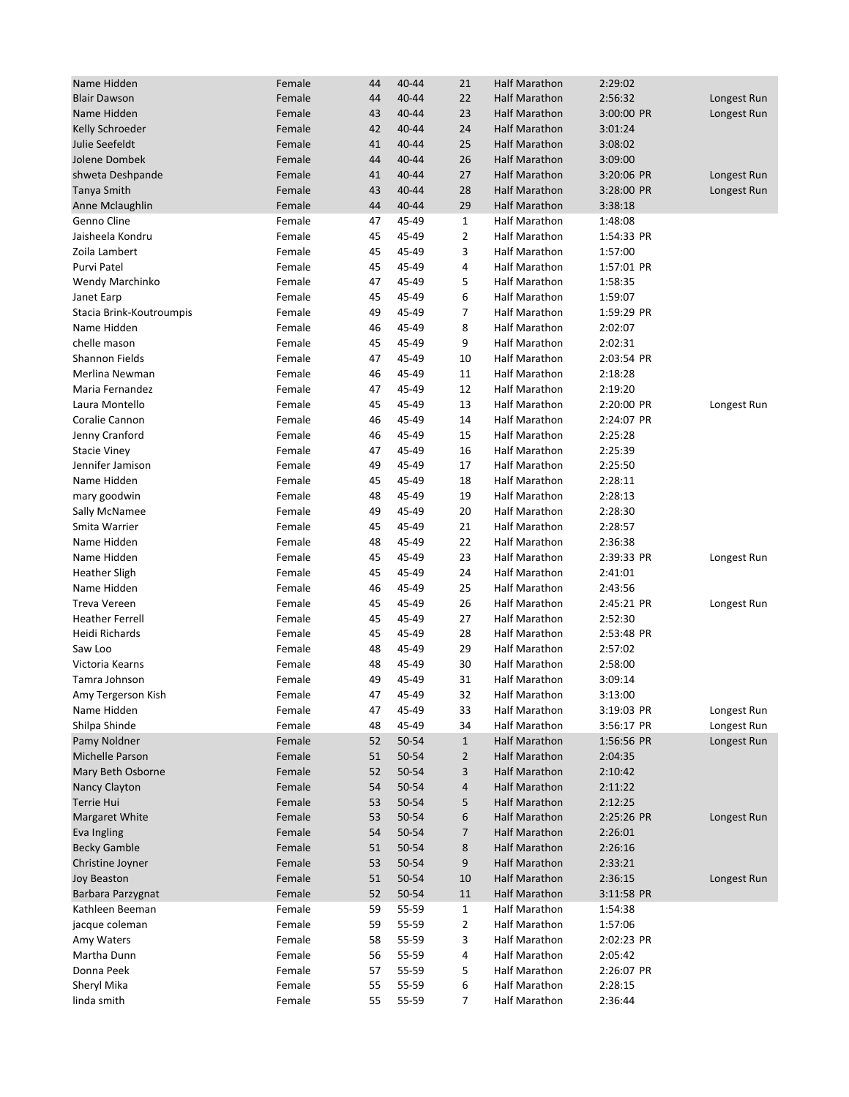| Name Hidden              | Female | 44 | 40-44 | 21             | <b>Half Marathon</b> | 2:29:02    |             |
|--------------------------|--------|----|-------|----------------|----------------------|------------|-------------|
| <b>Blair Dawson</b>      | Female | 44 | 40-44 | 22             | <b>Half Marathon</b> | 2:56:32    | Longest Run |
| Name Hidden              | Female | 43 | 40-44 | 23             | Half Marathon        | 3:00:00 PR | Longest Run |
| Kelly Schroeder          | Female | 42 | 40-44 | 24             | <b>Half Marathon</b> | 3:01:24    |             |
| Julie Seefeldt           | Female | 41 | 40-44 | 25             | <b>Half Marathon</b> | 3:08:02    |             |
| Jolene Dombek            | Female | 44 | 40-44 | 26             | <b>Half Marathon</b> | 3:09:00    |             |
| shweta Deshpande         | Female | 41 | 40-44 | 27             | <b>Half Marathon</b> | 3:20:06 PR | Longest Run |
| Tanya Smith              | Female | 43 | 40-44 | 28             | <b>Half Marathon</b> | 3:28:00 PR | Longest Run |
| Anne Mclaughlin          | Female | 44 | 40-44 | 29             | <b>Half Marathon</b> | 3:38:18    |             |
| Genno Cline              | Female | 47 | 45-49 | $\mathbf{1}$   | <b>Half Marathon</b> | 1:48:08    |             |
| Jaisheela Kondru         | Female | 45 | 45-49 | $\overline{2}$ | Half Marathon        | 1:54:33 PR |             |
|                          |        |    |       |                |                      |            |             |
| Zoila Lambert            | Female | 45 | 45-49 | 3              | Half Marathon        | 1:57:00    |             |
| Purvi Patel              | Female | 45 | 45-49 | 4              | Half Marathon        | 1:57:01 PR |             |
| Wendy Marchinko          | Female | 47 | 45-49 | 5              | <b>Half Marathon</b> | 1:58:35    |             |
| Janet Earp               | Female | 45 | 45-49 | 6              | Half Marathon        | 1:59:07    |             |
| Stacia Brink-Koutroumpis | Female | 49 | 45-49 | $\overline{7}$ | Half Marathon        | 1:59:29 PR |             |
| Name Hidden              | Female | 46 | 45-49 | 8              | Half Marathon        | 2:02:07    |             |
| chelle mason             | Female | 45 | 45-49 | 9              | Half Marathon        | 2:02:31    |             |
| Shannon Fields           | Female | 47 | 45-49 | 10             | Half Marathon        | 2:03:54 PR |             |
| Merlina Newman           | Female | 46 | 45-49 | 11             | <b>Half Marathon</b> | 2:18:28    |             |
| Maria Fernandez          | Female | 47 | 45-49 | 12             | Half Marathon        | 2:19:20    |             |
| Laura Montello           | Female | 45 | 45-49 | 13             | <b>Half Marathon</b> | 2:20:00 PR | Longest Run |
| Coralie Cannon           | Female | 46 | 45-49 | 14             | Half Marathon        | 2:24:07 PR |             |
| Jenny Cranford           | Female | 46 | 45-49 | 15             | Half Marathon        | 2:25:28    |             |
| <b>Stacie Viney</b>      | Female | 47 | 45-49 | 16             | Half Marathon        | 2:25:39    |             |
| Jennifer Jamison         | Female | 49 | 45-49 | 17             | Half Marathon        | 2:25:50    |             |
| Name Hidden              | Female | 45 | 45-49 | 18             | Half Marathon        | 2:28:11    |             |
| mary goodwin             | Female | 48 | 45-49 | 19             | Half Marathon        | 2:28:13    |             |
| Sally McNamee            | Female | 49 | 45-49 | 20             | Half Marathon        | 2:28:30    |             |
| Smita Warrier            | Female | 45 | 45-49 | 21             | Half Marathon        | 2:28:57    |             |
| Name Hidden              | Female | 48 | 45-49 | 22             | Half Marathon        | 2:36:38    |             |
| Name Hidden              | Female | 45 | 45-49 | 23             | Half Marathon        | 2:39:33 PR | Longest Run |
| <b>Heather Sligh</b>     | Female | 45 | 45-49 | 24             | Half Marathon        | 2:41:01    |             |
| Name Hidden              | Female | 46 | 45-49 | 25             | <b>Half Marathon</b> | 2:43:56    |             |
| <b>Treva Vereen</b>      | Female | 45 | 45-49 | 26             | Half Marathon        | 2:45:21 PR | Longest Run |
| <b>Heather Ferrell</b>   | Female | 45 | 45-49 | 27             | <b>Half Marathon</b> | 2:52:30    |             |
| <b>Heidi Richards</b>    | Female | 45 | 45-49 | 28             | Half Marathon        | 2:53:48 PR |             |
| Saw Loo                  | Female | 48 | 45-49 | 29             | Half Marathon        | 2:57:02    |             |
| Victoria Kearns          | Female | 48 | 45-49 | 30             | <b>Half Marathon</b> | 2:58:00    |             |
| Tamra Johnson            | Female | 49 | 45-49 | 31             | Half Marathon        | 3:09:14    |             |
| Amy Tergerson Kish       | Female | 47 | 45-49 | 32             | Half Marathon        | 3:13:00    |             |
| Name Hidden              | Female | 47 | 45-49 | 33             | Half Marathon        | 3:19:03 PR | Longest Run |
| Shilpa Shinde            | Female | 48 | 45-49 | 34             | Half Marathon        | 3:56:17 PR | Longest Run |
| Pamy Noldner             | Female | 52 | 50-54 | $\mathbf{1}$   | <b>Half Marathon</b> | 1:56:56 PR | Longest Run |
| Michelle Parson          | Female | 51 | 50-54 | $\overline{2}$ | Half Marathon        | 2:04:35    |             |
| Mary Beth Osborne        | Female | 52 | 50-54 | 3              | Half Marathon        | 2:10:42    |             |
| Nancy Clayton            | Female | 54 | 50-54 | 4              | Half Marathon        | 2:11:22    |             |
|                          |        |    |       |                |                      |            |             |
| Terrie Hui               | Female | 53 | 50-54 | 5              | Half Marathon        | 2:12:25    |             |
| <b>Margaret White</b>    | Female | 53 | 50-54 | 6              | Half Marathon        | 2:25:26 PR | Longest Run |
| Eva Ingling              | Female | 54 | 50-54 | 7              | Half Marathon        | 2:26:01    |             |
| <b>Becky Gamble</b>      | Female | 51 | 50-54 | 8              | Half Marathon        | 2:26:16    |             |
| Christine Joyner         | Female | 53 | 50-54 | 9              | Half Marathon        | 2:33:21    |             |
| Joy Beaston              | Female | 51 | 50-54 | 10             | Half Marathon        | 2:36:15    | Longest Run |
| Barbara Parzygnat        | Female | 52 | 50-54 | 11             | Half Marathon        | 3:11:58 PR |             |
| Kathleen Beeman          | Female | 59 | 55-59 | $\mathbf{1}$   | Half Marathon        | 1:54:38    |             |
| jacque coleman           | Female | 59 | 55-59 | 2              | Half Marathon        | 1:57:06    |             |
| Amy Waters               | Female | 58 | 55-59 | 3              | Half Marathon        | 2:02:23 PR |             |
| Martha Dunn              | Female | 56 | 55-59 | 4              | Half Marathon        | 2:05:42    |             |
| Donna Peek               | Female | 57 | 55-59 | 5              | Half Marathon        | 2:26:07 PR |             |
| Sheryl Mika              | Female | 55 | 55-59 | 6              | Half Marathon        | 2:28:15    |             |
| linda smith              | Female | 55 | 55-59 | 7              | Half Marathon        | 2:36:44    |             |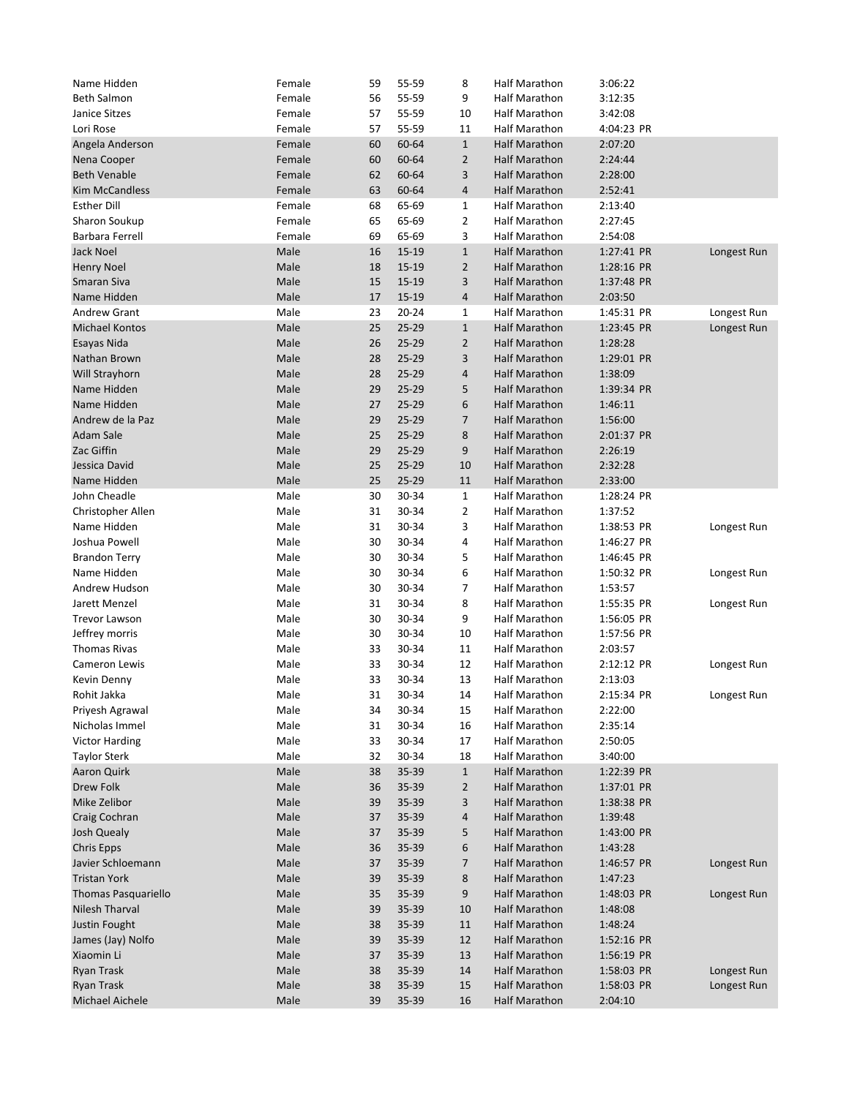| Name Hidden                                  | Female       | 59       | 55-59          | 8                       | <b>Half Marathon</b>           | 3:06:22            |             |
|----------------------------------------------|--------------|----------|----------------|-------------------------|--------------------------------|--------------------|-------------|
| <b>Beth Salmon</b>                           | Female       | 56       | 55-59          | 9                       | Half Marathon                  | 3:12:35            |             |
| Janice Sitzes                                | Female       | 57       | 55-59          | 10                      | Half Marathon                  | 3:42:08            |             |
| Lori Rose                                    | Female       | 57       | 55-59          | 11                      | Half Marathon                  | 4:04:23 PR         |             |
| Angela Anderson                              | Female       | 60       | 60-64          | $\mathbf{1}$            | <b>Half Marathon</b>           | 2:07:20            |             |
| Nena Cooper                                  | Female       | 60       | 60-64          | $\overline{2}$          | <b>Half Marathon</b>           | 2:24:44            |             |
| <b>Beth Venable</b>                          | Female       | 62       | 60-64          | 3                       | <b>Half Marathon</b>           | 2:28:00            |             |
| <b>Kim McCandless</b>                        | Female       | 63       | 60-64          | 4                       | <b>Half Marathon</b>           | 2:52:41            |             |
| <b>Esther Dill</b>                           | Female       | 68       | 65-69          | 1                       | Half Marathon                  | 2:13:40            |             |
| Sharon Soukup                                | Female       | 65       | 65-69          | $\overline{2}$          | Half Marathon                  | 2:27:45            |             |
| Barbara Ferrell                              | Female       | 69       | 65-69          | 3                       | Half Marathon                  | 2:54:08            |             |
| Jack Noel                                    | Male         | 16       | 15-19          | $\mathbf{1}$            | <b>Half Marathon</b>           | 1:27:41 PR         | Longest Run |
| <b>Henry Noel</b>                            | Male         | 18       | 15-19          | $\overline{2}$          | <b>Half Marathon</b>           | 1:28:16 PR         |             |
| Smaran Siva                                  | Male         | 15       | 15-19          | 3                       | <b>Half Marathon</b>           | 1:37:48 PR         |             |
| Name Hidden                                  | Male         | 17       | 15-19          | 4                       | <b>Half Marathon</b>           | 2:03:50            |             |
| <b>Andrew Grant</b>                          | Male         | 23       | 20-24          | 1                       | Half Marathon                  | 1:45:31 PR         | Longest Run |
| <b>Michael Kontos</b>                        | Male         | 25       | 25-29          | $\mathbf{1}$            | <b>Half Marathon</b>           | 1:23:45 PR         | Longest Run |
| Esayas Nida                                  | Male         | 26       | 25-29          | $\overline{2}$          | <b>Half Marathon</b>           | 1:28:28            |             |
| Nathan Brown                                 | Male         | 28       | 25-29          | 3                       | <b>Half Marathon</b>           | 1:29:01 PR         |             |
| Will Strayhorn                               | Male         | 28       | 25-29          | $\overline{\mathbf{4}}$ | <b>Half Marathon</b>           | 1:38:09            |             |
| Name Hidden                                  | Male         | 29       | $25 - 29$      | 5                       | <b>Half Marathon</b>           | 1:39:34 PR         |             |
| Name Hidden                                  | Male         | 27       | 25-29          | 6                       | <b>Half Marathon</b>           | 1:46:11            |             |
| Andrew de la Paz                             | Male         | 29       | 25-29          | $\overline{7}$          | <b>Half Marathon</b>           | 1:56:00            |             |
| Adam Sale                                    | Male         | 25       | 25-29          | 8                       | <b>Half Marathon</b>           | 2:01:37 PR         |             |
| Zac Giffin                                   | Male         | 29       | 25-29          | 9                       | <b>Half Marathon</b>           | 2:26:19            |             |
| Jessica David                                | Male         | 25       | 25-29          | 10                      | <b>Half Marathon</b>           | 2:32:28            |             |
| Name Hidden                                  | Male         | 25       | 25-29          | 11                      | <b>Half Marathon</b>           | 2:33:00            |             |
| John Cheadle                                 | Male         | 30       | 30-34          | $\mathbf{1}$            | Half Marathon                  | 1:28:24 PR         |             |
| Christopher Allen                            | Male         | 31       | 30-34          | $\overline{2}$          | Half Marathon                  | 1:37:52            |             |
| Name Hidden                                  | Male         | 31       | 30-34          | 3                       | Half Marathon                  | 1:38:53 PR         | Longest Run |
| Joshua Powell                                | Male         | 30       | 30-34          | 4                       | Half Marathon                  | 1:46:27 PR         |             |
| <b>Brandon Terry</b>                         | Male         | 30       | 30-34          | 5                       | Half Marathon                  | 1:46:45 PR         |             |
| Name Hidden                                  | Male         | 30       | 30-34          | 6                       | Half Marathon                  | 1:50:32 PR         | Longest Run |
| Andrew Hudson                                | Male         | 30       | 30-34          | 7                       | Half Marathon                  | 1:53:57            |             |
| Jarett Menzel                                | Male         | 31       | 30-34          | 8                       | Half Marathon                  | 1:55:35 PR         | Longest Run |
| <b>Trevor Lawson</b>                         | Male         | 30       | 30-34          | 9                       | Half Marathon                  | 1:56:05 PR         |             |
| Jeffrey morris                               | Male         | 30       | 30-34          | 10                      | Half Marathon                  | 1:57:56 PR         |             |
| <b>Thomas Rivas</b>                          | Male         | 33       | 30-34          | 11                      | Half Marathon                  | 2:03:57            |             |
| Cameron Lewis                                | Male         | 33       | 30-34          | 12                      | Half Marathon                  | 2:12:12 PR         |             |
| Kevin Denny                                  | Male         | 33       | 30-34          | 13                      | Half Marathon                  | 2:13:03            | Longest Run |
| Rohit Jakka                                  | Male         | 31       | 30-34          | 14                      | <b>Half Marathon</b>           | 2:15:34 PR         |             |
|                                              |              |          |                |                         |                                |                    | Longest Run |
| Priyesh Agrawal<br>Nicholas Immel            | Male<br>Male | 34<br>31 | 30-34<br>30-34 | 15<br>16                | Half Marathon<br>Half Marathon | 2:22:00            |             |
|                                              |              |          |                | 17                      | Half Marathon                  | 2:35:14            |             |
| <b>Victor Harding</b><br><b>Taylor Sterk</b> | Male<br>Male | 33<br>32 | 30-34<br>30-34 | 18                      | Half Marathon                  | 2:50:05<br>3:40:00 |             |
|                                              |              |          | 35-39          |                         |                                |                    |             |
| Aaron Quirk                                  | Male         | 38       |                | $\mathbf{1}$            | Half Marathon                  | 1:22:39 PR         |             |
| Drew Folk                                    | Male         | 36       | 35-39          | $\overline{2}$          | Half Marathon                  | 1:37:01 PR         |             |
| Mike Zelibor                                 | Male         | 39       | 35-39          | 3                       | Half Marathon                  | 1:38:38 PR         |             |
| Craig Cochran                                | Male         | 37       | 35-39          | 4                       | Half Marathon                  | 1:39:48            |             |
| Josh Quealy                                  | Male         | 37       | 35-39          | 5                       | Half Marathon                  | 1:43:00 PR         |             |
| <b>Chris Epps</b>                            | Male         | 36       | 35-39          | 6                       | Half Marathon                  | 1:43:28            |             |
| Javier Schloemann                            | Male         | 37       | 35-39          | 7                       | Half Marathon                  | 1:46:57 PR         | Longest Run |
| <b>Tristan York</b>                          | Male         | 39       | 35-39          | 8                       | Half Marathon                  | 1:47:23            |             |
| <b>Thomas Pasquariello</b>                   | Male         | 35       | 35-39          | 9                       | Half Marathon                  | 1:48:03 PR         | Longest Run |
| Nilesh Tharval                               | Male         | 39       | 35-39          | 10                      | Half Marathon                  | 1:48:08            |             |
| Justin Fought                                | Male         | 38       | 35-39          | 11                      | Half Marathon                  | 1:48:24            |             |
| James (Jay) Nolfo                            | Male         | 39       | 35-39          | 12                      | Half Marathon                  | 1:52:16 PR         |             |
| Xiaomin Li                                   | Male         | 37       | 35-39          | 13                      | Half Marathon                  | 1:56:19 PR         |             |
| Ryan Trask                                   | Male         | 38       | 35-39          | 14                      | Half Marathon                  | 1:58:03 PR         | Longest Run |
| Ryan Trask                                   | Male         | 38       | 35-39          | 15                      | Half Marathon                  | 1:58:03 PR         | Longest Run |
| Michael Aichele                              | Male         | 39       | 35-39          | 16                      | Half Marathon                  | 2:04:10            |             |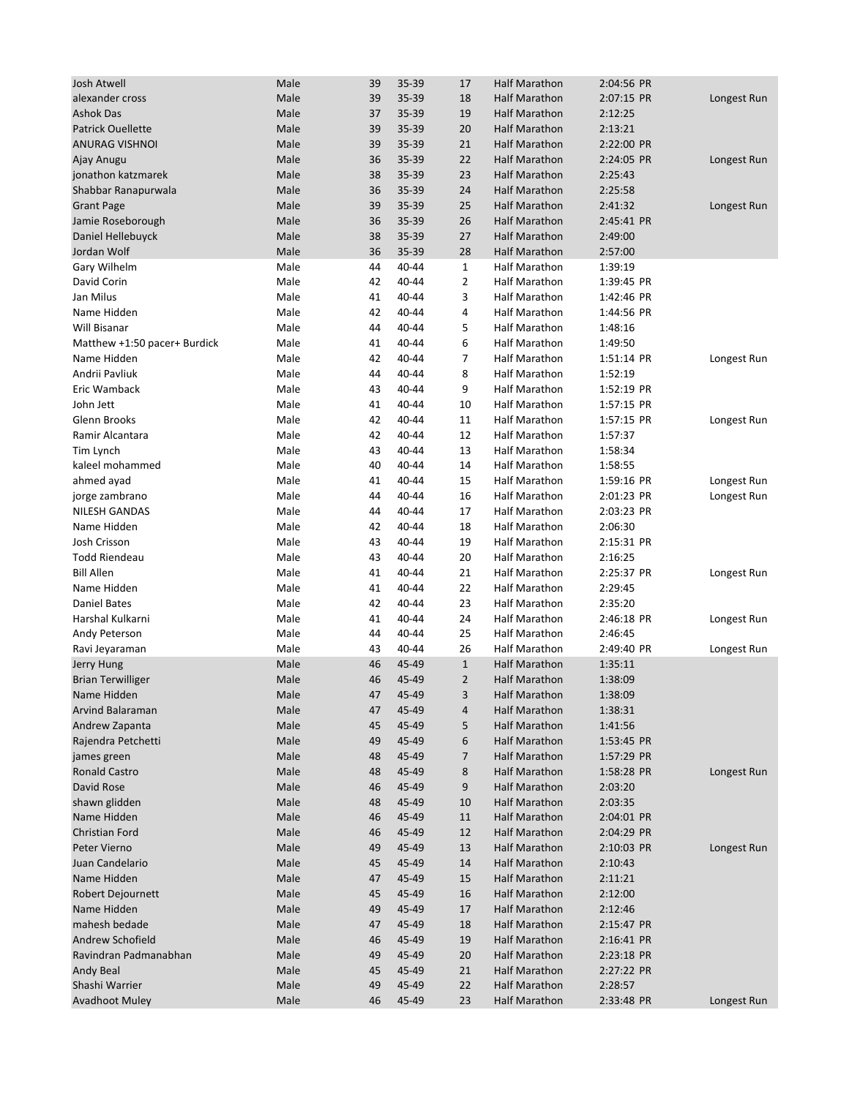| Josh Atwell                  | Male | 39 | 35-39 | 17             | <b>Half Marathon</b> | 2:04:56 PR |             |
|------------------------------|------|----|-------|----------------|----------------------|------------|-------------|
| alexander cross              | Male | 39 | 35-39 | 18             | <b>Half Marathon</b> | 2:07:15 PR | Longest Run |
| <b>Ashok Das</b>             | Male | 37 | 35-39 | 19             | <b>Half Marathon</b> | 2:12:25    |             |
| <b>Patrick Ouellette</b>     | Male | 39 | 35-39 | 20             | <b>Half Marathon</b> | 2:13:21    |             |
| <b>ANURAG VISHNOI</b>        | Male | 39 | 35-39 | 21             | <b>Half Marathon</b> | 2:22:00 PR |             |
| Ajay Anugu                   | Male | 36 | 35-39 | 22             | <b>Half Marathon</b> | 2:24:05 PR | Longest Run |
|                              |      |    |       |                |                      |            |             |
| jonathon katzmarek           | Male | 38 | 35-39 | 23             | <b>Half Marathon</b> | 2:25:43    |             |
| Shabbar Ranapurwala          | Male | 36 | 35-39 | 24             | <b>Half Marathon</b> | 2:25:58    |             |
| <b>Grant Page</b>            | Male | 39 | 35-39 | 25             | Half Marathon        | 2:41:32    | Longest Run |
| Jamie Roseborough            | Male | 36 | 35-39 | 26             | <b>Half Marathon</b> | 2:45:41 PR |             |
| Daniel Hellebuyck            | Male | 38 | 35-39 | 27             | <b>Half Marathon</b> | 2:49:00    |             |
| Jordan Wolf                  | Male | 36 | 35-39 | 28             | <b>Half Marathon</b> | 2:57:00    |             |
| Gary Wilhelm                 | Male | 44 | 40-44 | $\mathbf{1}$   | Half Marathon        | 1:39:19    |             |
| David Corin                  | Male | 42 | 40-44 | $\overline{2}$ | <b>Half Marathon</b> | 1:39:45 PR |             |
| Jan Milus                    | Male | 41 | 40-44 | 3              | <b>Half Marathon</b> | 1:42:46 PR |             |
| Name Hidden                  | Male | 42 | 40-44 | 4              | Half Marathon        | 1:44:56 PR |             |
| Will Bisanar                 | Male | 44 | 40-44 | 5              | Half Marathon        | 1:48:16    |             |
| Matthew +1:50 pacer+ Burdick | Male | 41 | 40-44 | 6              | <b>Half Marathon</b> | 1:49:50    |             |
| Name Hidden                  | Male | 42 | 40-44 | 7              | <b>Half Marathon</b> | 1:51:14 PR | Longest Run |
| Andrii Pavliuk               | Male | 44 | 40-44 | 8              | <b>Half Marathon</b> | 1:52:19    |             |
| Eric Wamback                 | Male | 43 | 40-44 | 9              | <b>Half Marathon</b> | 1:52:19 PR |             |
| John Jett                    | Male | 41 | 40-44 | 10             | <b>Half Marathon</b> | 1:57:15 PR |             |
| Glenn Brooks                 | Male | 42 | 40-44 | 11             | <b>Half Marathon</b> | 1:57:15 PR | Longest Run |
| Ramir Alcantara              | Male | 42 | 40-44 | 12             | <b>Half Marathon</b> | 1:57:37    |             |
| Tim Lynch                    | Male | 43 | 40-44 | 13             | <b>Half Marathon</b> | 1:58:34    |             |
| kaleel mohammed              | Male | 40 | 40-44 | 14             | Half Marathon        | 1:58:55    |             |
| ahmed ayad                   | Male | 41 | 40-44 | 15             | <b>Half Marathon</b> | 1:59:16 PR | Longest Run |
| jorge zambrano               | Male | 44 | 40-44 | 16             | <b>Half Marathon</b> | 2:01:23 PR | Longest Run |
| <b>NILESH GANDAS</b>         | Male | 44 | 40-44 | 17             | Half Marathon        | 2:03:23 PR |             |
|                              | Male |    | 40-44 |                |                      | 2:06:30    |             |
| Name Hidden                  |      | 42 |       | 18             | <b>Half Marathon</b> |            |             |
| Josh Crisson                 | Male | 43 | 40-44 | 19             | Half Marathon        | 2:15:31 PR |             |
| <b>Todd Riendeau</b>         | Male | 43 | 40-44 | 20             | Half Marathon        | 2:16:25    |             |
| <b>Bill Allen</b>            | Male | 41 | 40-44 | 21             | <b>Half Marathon</b> | 2:25:37 PR | Longest Run |
| Name Hidden                  | Male | 41 | 40-44 | 22             | <b>Half Marathon</b> | 2:29:45    |             |
| Daniel Bates                 | Male | 42 | 40-44 | 23             | Half Marathon        | 2:35:20    |             |
| Harshal Kulkarni             | Male | 41 | 40-44 | 24             | <b>Half Marathon</b> | 2:46:18 PR | Longest Run |
| Andy Peterson                | Male | 44 | 40-44 | 25             | <b>Half Marathon</b> | 2:46:45    |             |
| Ravi Jeyaraman               | Male | 43 | 40-44 | 26             | <b>Half Marathon</b> | 2:49:40 PR | Longest Run |
| Jerry Hung                   | Male | 46 | 45-49 | $\mathbf{1}$   | Half Marathon        | 1:35:11    |             |
| <b>Brian Terwilliger</b>     | Male | 46 | 45-49 | 2              | Half Marathon        | 1:38:09    |             |
| Name Hidden                  | Male | 47 | 45-49 | $\overline{3}$ | <b>Half Marathon</b> | 1:38:09    |             |
| Arvind Balaraman             | Male | 47 | 45-49 | 4              | Half Marathon        | 1:38:31    |             |
| Andrew Zapanta               | Male | 45 | 45-49 | 5              | Half Marathon        | 1:41:56    |             |
| Rajendra Petchetti           | Male | 49 | 45-49 | 6              | <b>Half Marathon</b> | 1:53:45 PR |             |
| james green                  | Male | 48 | 45-49 | $\overline{7}$ | <b>Half Marathon</b> | 1:57:29 PR |             |
| <b>Ronald Castro</b>         | Male | 48 | 45-49 | 8              | <b>Half Marathon</b> | 1:58:28 PR | Longest Run |
| David Rose                   | Male | 46 | 45-49 | 9              | Half Marathon        | 2:03:20    |             |
| shawn glidden                | Male | 48 | 45-49 | 10             | <b>Half Marathon</b> | 2:03:35    |             |
| Name Hidden                  | Male | 46 | 45-49 | 11             | Half Marathon        | 2:04:01 PR |             |
| Christian Ford               | Male | 46 | 45-49 | 12             | Half Marathon        | 2:04:29 PR |             |
| Peter Vierno                 | Male | 49 | 45-49 | 13             | Half Marathon        | 2:10:03 PR | Longest Run |
| Juan Candelario              | Male | 45 | 45-49 | 14             | Half Marathon        | 2:10:43    |             |
|                              |      |    |       |                |                      |            |             |
| Name Hidden                  | Male | 47 | 45-49 | 15             | Half Marathon        | 2:11:21    |             |
| Robert Dejournett            | Male | 45 | 45-49 | 16             | Half Marathon        | 2:12:00    |             |
| Name Hidden                  | Male | 49 | 45-49 | 17             | <b>Half Marathon</b> | 2:12:46    |             |
| mahesh bedade                | Male | 47 | 45-49 | 18             | Half Marathon        | 2:15:47 PR |             |
| Andrew Schofield             | Male | 46 | 45-49 | 19             | Half Marathon        | 2:16:41 PR |             |
| Ravindran Padmanabhan        | Male | 49 | 45-49 | 20             | <b>Half Marathon</b> | 2:23:18 PR |             |
| Andy Beal                    | Male | 45 | 45-49 | 21             | Half Marathon        | 2:27:22 PR |             |
| Shashi Warrier               | Male | 49 | 45-49 | 22             | <b>Half Marathon</b> | 2:28:57    |             |
| <b>Avadhoot Muley</b>        | Male | 46 | 45-49 | 23             | Half Marathon        | 2:33:48 PR | Longest Run |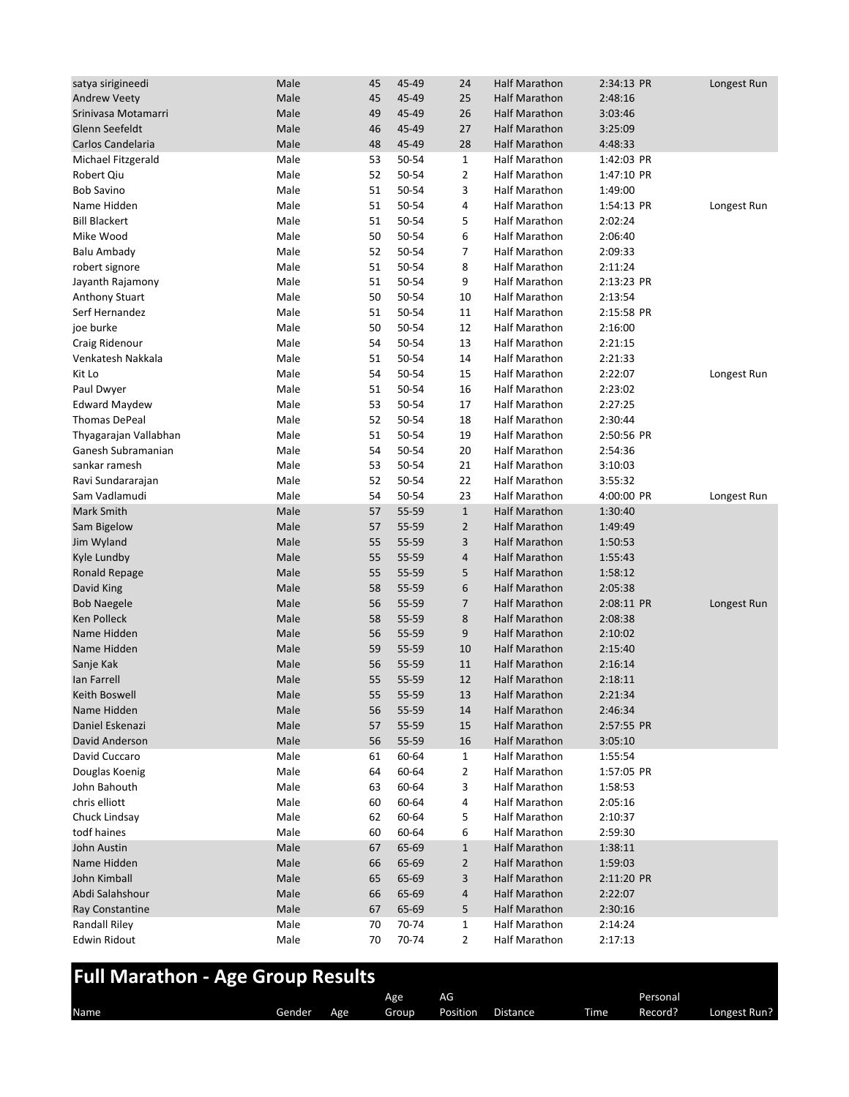| satya sirigineedi                       | Male | 45       | 45-49 | 24             | <b>Half Marathon</b>                         | 2:34:13 PR         | Longest Run |
|-----------------------------------------|------|----------|-------|----------------|----------------------------------------------|--------------------|-------------|
| <b>Andrew Veety</b>                     | Male | 45       | 45-49 | 25             | <b>Half Marathon</b>                         | 2:48:16            |             |
| Srinivasa Motamarri                     | Male | 49       | 45-49 | 26             | <b>Half Marathon</b>                         | 3:03:46            |             |
| Glenn Seefeldt                          | Male | 46       | 45-49 | 27             | <b>Half Marathon</b>                         | 3:25:09            |             |
| Carlos Candelaria                       | Male | 48       | 45-49 | 28             | <b>Half Marathon</b>                         | 4:48:33            |             |
| Michael Fitzgerald                      | Male | 53       | 50-54 | $\mathbf 1$    | <b>Half Marathon</b>                         | 1:42:03 PR         |             |
| Robert Qiu                              | Male | 52       | 50-54 | $\overline{2}$ | <b>Half Marathon</b>                         | 1:47:10 PR         |             |
| <b>Bob Savino</b>                       | Male | 51       | 50-54 | 3              | <b>Half Marathon</b>                         | 1:49:00            |             |
| Name Hidden                             | Male | 51       | 50-54 | 4              | <b>Half Marathon</b>                         | 1:54:13 PR         | Longest Run |
| <b>Bill Blackert</b>                    | Male | 51       | 50-54 | 5              | <b>Half Marathon</b>                         | 2:02:24            |             |
| Mike Wood                               | Male | 50       | 50-54 | 6              | <b>Half Marathon</b>                         | 2:06:40            |             |
| <b>Balu Ambady</b>                      | Male | 52       | 50-54 | 7              | <b>Half Marathon</b>                         | 2:09:33            |             |
| robert signore                          | Male | 51       | 50-54 | 8              | <b>Half Marathon</b>                         | 2:11:24            |             |
| Jayanth Rajamony                        | Male | 51       | 50-54 | 9              | <b>Half Marathon</b>                         | 2:13:23 PR         |             |
|                                         | Male | 50       | 50-54 | 10             | <b>Half Marathon</b>                         | 2:13:54            |             |
| <b>Anthony Stuart</b><br>Serf Hernandez | Male | 51       | 50-54 | 11             | <b>Half Marathon</b>                         | 2:15:58 PR         |             |
|                                         | Male |          | 50-54 | 12             |                                              |                    |             |
| joe burke                               | Male | 50<br>54 | 50-54 | 13             | <b>Half Marathon</b>                         | 2:16:00<br>2:21:15 |             |
| Craig Ridenour                          |      |          |       |                | <b>Half Marathon</b><br><b>Half Marathon</b> |                    |             |
| Venkatesh Nakkala                       | Male | 51       | 50-54 | 14             |                                              | 2:21:33            |             |
| Kit Lo                                  | Male | 54       | 50-54 | 15             | <b>Half Marathon</b>                         | 2:22:07            | Longest Run |
| Paul Dwyer                              | Male | 51       | 50-54 | 16             | <b>Half Marathon</b>                         | 2:23:02            |             |
| <b>Edward Maydew</b>                    | Male | 53       | 50-54 | 17             | Half Marathon                                | 2:27:25            |             |
| <b>Thomas DePeal</b>                    | Male | 52       | 50-54 | 18             | <b>Half Marathon</b>                         | 2:30:44            |             |
| Thyagarajan Vallabhan                   | Male | 51       | 50-54 | 19             | <b>Half Marathon</b>                         | 2:50:56 PR         |             |
| Ganesh Subramanian                      | Male | 54       | 50-54 | 20             | <b>Half Marathon</b>                         | 2:54:36            |             |
| sankar ramesh                           | Male | 53       | 50-54 | 21             | <b>Half Marathon</b>                         | 3:10:03            |             |
| Ravi Sundararajan                       | Male | 52       | 50-54 | 22             | <b>Half Marathon</b>                         | 3:55:32            |             |
| Sam Vadlamudi                           | Male | 54       | 50-54 | 23             | <b>Half Marathon</b>                         | 4:00:00 PR         | Longest Run |
| Mark Smith                              | Male | 57       | 55-59 | $\mathbf{1}$   | <b>Half Marathon</b>                         | 1:30:40            |             |
| Sam Bigelow                             | Male | 57       | 55-59 | $\overline{2}$ | <b>Half Marathon</b>                         | 1:49:49            |             |
| Jim Wyland                              | Male | 55       | 55-59 | 3              | <b>Half Marathon</b>                         | 1:50:53            |             |
| Kyle Lundby                             | Male | 55       | 55-59 | 4              | <b>Half Marathon</b>                         | 1:55:43            |             |
| Ronald Repage                           | Male | 55       | 55-59 | 5              | <b>Half Marathon</b>                         | 1:58:12            |             |
| David King                              | Male | 58       | 55-59 | 6              | <b>Half Marathon</b>                         | 2:05:38            |             |
| <b>Bob Naegele</b>                      | Male | 56       | 55-59 | 7              | <b>Half Marathon</b>                         | 2:08:11 PR         | Longest Run |
| <b>Ken Polleck</b>                      | Male | 58       | 55-59 | 8              | <b>Half Marathon</b>                         | 2:08:38            |             |
| Name Hidden                             | Male | 56       | 55-59 | 9              | <b>Half Marathon</b>                         | 2:10:02            |             |
| Name Hidden                             | Male | 59       | 55-59 | 10             | <b>Half Marathon</b>                         | 2:15:40            |             |
| Sanje Kak                               | Male | 56       | 55-59 | 11             | <b>Half Marathon</b>                         | 2:16:14            |             |
| lan Farrell                             | Male | 55       | 55-59 | 12             | <b>Half Marathon</b>                         | 2:18:11            |             |
| Keith Boswell                           | Male | 55       | 55-59 | $13\,$         | <b>Half Marathon</b>                         | 2:21:34            |             |
| Name Hidden                             | Male | 56       | 55-59 | 14             | <b>Half Marathon</b>                         | 2:46:34            |             |
| Daniel Eskenazi                         | Male | 57       | 55-59 | 15             | <b>Half Marathon</b>                         | 2:57:55 PR         |             |
| David Anderson                          | Male | 56       | 55-59 | 16             | <b>Half Marathon</b>                         | 3:05:10            |             |
| David Cuccaro                           | Male | 61       | 60-64 | 1              | Half Marathon                                | 1:55:54            |             |
| Douglas Koenig                          | Male | 64       | 60-64 | 2              | <b>Half Marathon</b>                         | 1:57:05 PR         |             |
| John Bahouth                            | Male | 63       | 60-64 | 3              | Half Marathon                                | 1:58:53            |             |
| chris elliott                           | Male | 60       | 60-64 | 4              | Half Marathon                                | 2:05:16            |             |
| Chuck Lindsay                           | Male | 62       | 60-64 | 5              | Half Marathon                                | 2:10:37            |             |
| todf haines                             | Male | 60       | 60-64 | 6              | Half Marathon                                | 2:59:30            |             |
| John Austin                             | Male | 67       | 65-69 | $\mathbf{1}$   | <b>Half Marathon</b>                         | 1:38:11            |             |
| Name Hidden                             | Male | 66       | 65-69 | $\overline{2}$ | <b>Half Marathon</b>                         | 1:59:03            |             |
| John Kimball                            | Male | 65       | 65-69 | 3              | <b>Half Marathon</b>                         | 2:11:20 PR         |             |
| Abdi Salahshour                         | Male | 66       | 65-69 | 4              | <b>Half Marathon</b>                         | 2:22:07            |             |
| Ray Constantine                         | Male | 67       | 65-69 | 5              | <b>Half Marathon</b>                         | 2:30:16            |             |
| Randall Riley                           | Male | 70       | 70-74 | 1              | Half Marathon                                | 2:14:24            |             |
| <b>Edwin Ridout</b>                     | Male | 70       | 70-74 | $\overline{2}$ | Half Marathon                                | 2:17:13            |             |

| <b>Full Marathon - Age Group Results</b> |        |     |      |                |          |             |          |  |  |  |  |  |
|------------------------------------------|--------|-----|------|----------------|----------|-------------|----------|--|--|--|--|--|
|                                          |        |     | Age. | AG.            |          |             | Personal |  |  |  |  |  |
| Name                                     | Gender | Age |      | Group Position | Distance | <b>Time</b> | Record?  |  |  |  |  |  |

Longest Run?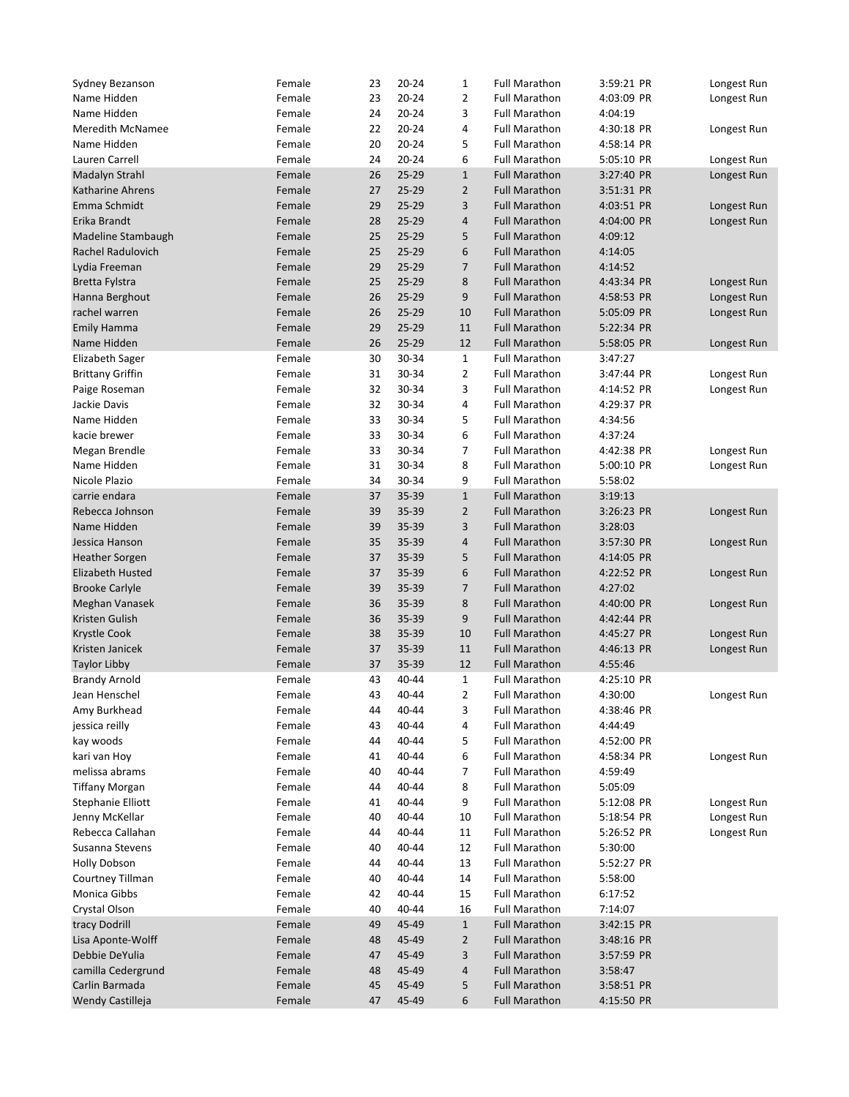| Sydney Bezanson                    | Female | 23 | $20 - 24$ | $\mathbf{1}$   | <b>Full Marathon</b> | 3:59:21 PR | Longest Run |
|------------------------------------|--------|----|-----------|----------------|----------------------|------------|-------------|
| Name Hidden                        | Female | 23 | $20 - 24$ | $\overline{2}$ | <b>Full Marathon</b> | 4:03:09 PR | Longest Run |
| Name Hidden                        | Female | 24 | $20 - 24$ | 3              | <b>Full Marathon</b> | 4:04:19    |             |
| <b>Meredith McNamee</b>            | Female | 22 | $20 - 24$ | 4              | <b>Full Marathon</b> | 4:30:18 PR | Longest Run |
| Name Hidden                        | Female | 20 | 20-24     | 5              | <b>Full Marathon</b> | 4:58:14 PR |             |
| Lauren Carrell                     | Female | 24 | $20 - 24$ | 6              | <b>Full Marathon</b> | 5:05:10 PR | Longest Run |
| Madalyn Strahl                     | Female | 26 | $25 - 29$ | $\mathbf{1}$   | <b>Full Marathon</b> | 3:27:40 PR | Longest Run |
| <b>Katharine Ahrens</b>            | Female | 27 | 25-29     | $\overline{2}$ | <b>Full Marathon</b> | 3:51:31 PR |             |
| Emma Schmidt                       | Female | 29 | 25-29     | 3              | <b>Full Marathon</b> | 4:03:51 PR | Longest Run |
| Erika Brandt                       | Female | 28 | $25 - 29$ | 4              | <b>Full Marathon</b> | 4:04:00 PR | Longest Run |
| Madeline Stambaugh                 | Female | 25 | $25 - 29$ | 5              | <b>Full Marathon</b> | 4:09:12    |             |
| Rachel Radulovich                  | Female | 25 | $25 - 29$ | 6              | <b>Full Marathon</b> | 4:14:05    |             |
| Lydia Freeman                      | Female | 29 | $25 - 29$ | $\overline{7}$ | <b>Full Marathon</b> | 4:14:52    |             |
| Bretta Fylstra                     | Female | 25 | $25 - 29$ | 8              | <b>Full Marathon</b> | 4:43:34 PR | Longest Run |
| Hanna Berghout                     | Female | 26 | $25 - 29$ | 9              | <b>Full Marathon</b> | 4:58:53 PR | Longest Run |
| rachel warren                      | Female | 26 | $25 - 29$ | 10             | <b>Full Marathon</b> | 5:05:09 PR | Longest Run |
| <b>Emily Hamma</b>                 | Female | 29 | 25-29     | 11             | <b>Full Marathon</b> | 5:22:34 PR |             |
| Name Hidden                        | Female | 26 | $25 - 29$ | 12             | <b>Full Marathon</b> | 5:58:05 PR | Longest Run |
| <b>Elizabeth Sager</b>             | Female | 30 | 30-34     | $\mathbf{1}$   | <b>Full Marathon</b> | 3:47:27    |             |
| <b>Brittany Griffin</b>            | Female | 31 | 30-34     | $\overline{2}$ | <b>Full Marathon</b> | 3:47:44 PR | Longest Run |
| Paige Roseman                      | Female | 32 | 30-34     | 3              | <b>Full Marathon</b> | 4:14:52 PR | Longest Run |
| Jackie Davis                       | Female | 32 | 30-34     | 4              | <b>Full Marathon</b> | 4:29:37 PR |             |
| Name Hidden                        | Female | 33 | 30-34     | 5              | <b>Full Marathon</b> | 4:34:56    |             |
| kacie brewer                       | Female | 33 | 30-34     | 6              | <b>Full Marathon</b> | 4:37:24    |             |
| Megan Brendle                      | Female | 33 | 30-34     | 7              | <b>Full Marathon</b> | 4:42:38 PR | Longest Run |
|                                    |        |    |           |                | <b>Full Marathon</b> |            |             |
| Name Hidden                        | Female | 31 | 30-34     | 8              |                      | 5:00:10 PR | Longest Run |
| Nicole Plazio                      | Female | 34 | 30-34     | 9              | <b>Full Marathon</b> | 5:58:02    |             |
| carrie endara                      | Female | 37 | 35-39     | $1\,$          | <b>Full Marathon</b> | 3:19:13    |             |
| Rebecca Johnson                    | Female | 39 | 35-39     | $\overline{2}$ | <b>Full Marathon</b> | 3:26:23 PR | Longest Run |
| Name Hidden                        | Female | 39 | 35-39     | 3              | <b>Full Marathon</b> | 3:28:03    |             |
| Jessica Hanson                     | Female | 35 | 35-39     | $\overline{4}$ | <b>Full Marathon</b> | 3:57:30 PR | Longest Run |
| Heather Sorgen                     | Female | 37 | 35-39     | 5              | <b>Full Marathon</b> | 4:14:05 PR |             |
| Elizabeth Husted                   | Female | 37 | 35-39     | 6              | <b>Full Marathon</b> | 4:22:52 PR | Longest Run |
| <b>Brooke Carlyle</b>              | Female | 39 | 35-39     | 7              | <b>Full Marathon</b> | 4:27:02    |             |
| Meghan Vanasek                     | Female | 36 | 35-39     | 8              | <b>Full Marathon</b> | 4:40:00 PR | Longest Run |
| Kristen Gulish                     | Female | 36 | 35-39     | 9              | <b>Full Marathon</b> | 4:42:44 PR |             |
| Krystle Cook                       | Female | 38 | 35-39     | 10             | <b>Full Marathon</b> | 4:45:27 PR | Longest Run |
| Kristen Janicek                    | Female | 37 | 35-39     | 11             | <b>Full Marathon</b> | 4:46:13 PR | Longest Run |
| <b>Taylor Libby</b>                | Female | 37 | 35-39     | 12             | <b>Full Marathon</b> | 4:55:46    |             |
| <b>Brandy Arnold</b>               | Female | 43 | 40-44     | 1              | <b>Full Marathon</b> | 4:25:10 PR |             |
| Jean Henschel                      | Female | 43 | 40-44     | 2              | <b>Full Marathon</b> | 4:30:00    | Longest Run |
| Amy Burkhead                       | Female | 44 | 40-44     | 3              | <b>Full Marathon</b> | 4:38:46 PR |             |
| jessica reilly                     | Female | 43 | 40-44     | 4              | <b>Full Marathon</b> | 4:44:49    |             |
| kay woods                          | Female | 44 | 40-44     | 5              | <b>Full Marathon</b> | 4:52:00 PR |             |
| kari van Hoy                       | Female | 41 | 40-44     | 6              | <b>Full Marathon</b> | 4:58:34 PR | Longest Run |
| melissa abrams                     | Female | 40 | 40-44     | 7              | <b>Full Marathon</b> | 4:59:49    |             |
| <b>Tiffany Morgan</b>              | Female | 44 | 40-44     | 8              | <b>Full Marathon</b> | 5:05:09    |             |
| Stephanie Elliott                  | Female | 41 | 40-44     | 9              | <b>Full Marathon</b> | 5:12:08 PR | Longest Run |
| Jenny McKellar                     | Female | 40 | 40-44     | 10             | <b>Full Marathon</b> | 5:18:54 PR | Longest Run |
| Rebecca Callahan                   | Female | 44 | 40-44     | 11             | <b>Full Marathon</b> | 5:26:52 PR | Longest Run |
| Susanna Stevens                    | Female | 40 | 40-44     | 12             | <b>Full Marathon</b> | 5:30:00    |             |
| <b>Holly Dobson</b>                | Female | 44 | 40-44     | 13             | <b>Full Marathon</b> | 5:52:27 PR |             |
| Courtney Tillman                   | Female | 40 | 40-44     | 14             | <b>Full Marathon</b> | 5:58:00    |             |
| Monica Gibbs                       | Female | 42 | 40-44     | 15             | <b>Full Marathon</b> | 6:17:52    |             |
| Crystal Olson                      | Female | 40 | 40-44     | 16             | <b>Full Marathon</b> | 7:14:07    |             |
| tracy Dodrill                      | Female | 49 | 45-49     | $\mathbf{1}$   | <b>Full Marathon</b> | 3:42:15 PR |             |
| Lisa Aponte-Wolff                  | Female | 48 | 45-49     | $\overline{2}$ | <b>Full Marathon</b> | 3:48:16 PR |             |
| Debbie DeYulia                     | Female | 47 | 45-49     | 3              | <b>Full Marathon</b> | 3:57:59 PR |             |
| camilla Cedergrund                 | Female | 48 | 45-49     | 4              | <b>Full Marathon</b> | 3:58:47    |             |
|                                    | Female | 45 | 45-49     | 5              | <b>Full Marathon</b> | 3:58:51 PR |             |
|                                    |        |    |           |                |                      |            |             |
| Carlin Barmada<br>Wendy Castilleja | Female | 47 | 45-49     | 6              | <b>Full Marathon</b> | 4:15:50 PR |             |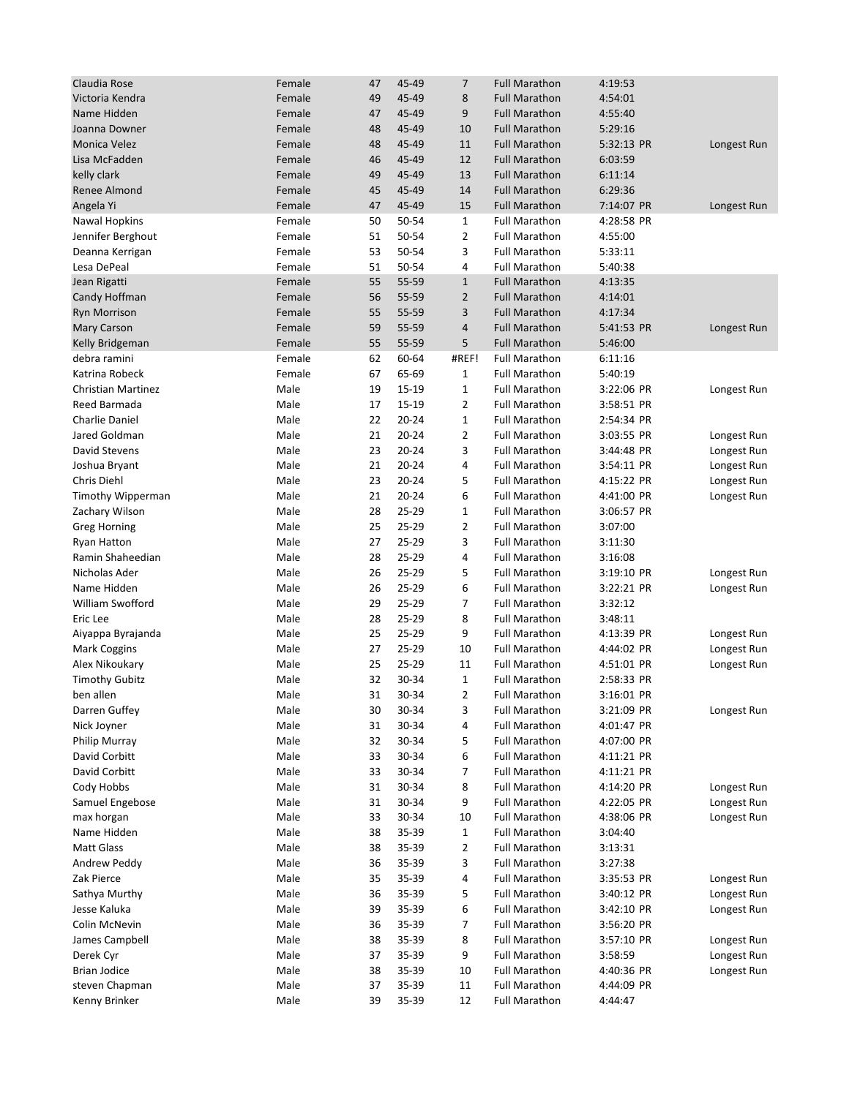| Claudia Rose              | Female | 47 | 45-49     | 7              | <b>Full Marathon</b> | 4:19:53    |             |
|---------------------------|--------|----|-----------|----------------|----------------------|------------|-------------|
| Victoria Kendra           | Female | 49 | 45-49     | 8              | <b>Full Marathon</b> | 4:54:01    |             |
| Name Hidden               | Female | 47 | 45-49     | 9              | <b>Full Marathon</b> | 4:55:40    |             |
| Joanna Downer             | Female | 48 | 45-49     | 10             | <b>Full Marathon</b> | 5:29:16    |             |
| <b>Monica Velez</b>       | Female | 48 | 45-49     | 11             | <b>Full Marathon</b> | 5:32:13 PR | Longest Run |
| Lisa McFadden             | Female | 46 | 45-49     | 12             | <b>Full Marathon</b> | 6:03:59    |             |
| kelly clark               | Female | 49 | 45-49     | 13             | <b>Full Marathon</b> | 6:11:14    |             |
| Renee Almond              | Female | 45 | 45-49     | 14             | <b>Full Marathon</b> | 6:29:36    |             |
|                           | Female | 47 | 45-49     | 15             |                      |            |             |
| Angela Yi                 |        |    |           |                | <b>Full Marathon</b> | 7:14:07 PR | Longest Run |
| <b>Nawal Hopkins</b>      | Female | 50 | 50-54     | $\mathbf{1}$   | <b>Full Marathon</b> | 4:28:58 PR |             |
| Jennifer Berghout         | Female | 51 | 50-54     | $\overline{2}$ | <b>Full Marathon</b> | 4:55:00    |             |
| Deanna Kerrigan           | Female | 53 | 50-54     | 3              | <b>Full Marathon</b> | 5:33:11    |             |
| Lesa DePeal               | Female | 51 | 50-54     | 4              | <b>Full Marathon</b> | 5:40:38    |             |
| Jean Rigatti              | Female | 55 | 55-59     | $\mathbf{1}$   | <b>Full Marathon</b> | 4:13:35    |             |
| Candy Hoffman             | Female | 56 | 55-59     | $\overline{2}$ | <b>Full Marathon</b> | 4:14:01    |             |
| <b>Ryn Morrison</b>       | Female | 55 | 55-59     | 3              | <b>Full Marathon</b> | 4:17:34    |             |
| <b>Mary Carson</b>        | Female | 59 | 55-59     | 4              | <b>Full Marathon</b> | 5:41:53 PR | Longest Run |
| Kelly Bridgeman           | Female | 55 | 55-59     | 5              | <b>Full Marathon</b> | 5:46:00    |             |
| debra ramini              | Female | 62 | 60-64     | #REF!          | <b>Full Marathon</b> | 6:11:16    |             |
| Katrina Robeck            | Female | 67 | 65-69     | $\mathbf{1}$   | <b>Full Marathon</b> | 5:40:19    |             |
| <b>Christian Martinez</b> | Male   | 19 | 15-19     | $\mathbf{1}$   | <b>Full Marathon</b> | 3:22:06 PR | Longest Run |
| Reed Barmada              | Male   | 17 | 15-19     | $\overline{2}$ | <b>Full Marathon</b> | 3:58:51 PR |             |
| <b>Charlie Daniel</b>     | Male   | 22 | 20-24     | $\mathbf{1}$   | <b>Full Marathon</b> | 2:54:34 PR |             |
| Jared Goldman             | Male   | 21 | $20 - 24$ | $\overline{2}$ | <b>Full Marathon</b> | 3:03:55 PR | Longest Run |
| David Stevens             | Male   | 23 | $20 - 24$ | 3              | <b>Full Marathon</b> | 3:44:48 PR | Longest Run |
| Joshua Bryant             | Male   | 21 | 20-24     | 4              | <b>Full Marathon</b> | 3:54:11 PR | Longest Run |
| Chris Diehl               | Male   | 23 | $20 - 24$ | 5              | <b>Full Marathon</b> | 4:15:22 PR | Longest Run |
| Timothy Wipperman         | Male   | 21 | $20 - 24$ | 6              | <b>Full Marathon</b> | 4:41:00 PR | Longest Run |
| Zachary Wilson            | Male   | 28 | 25-29     | $\mathbf{1}$   | <b>Full Marathon</b> | 3:06:57 PR |             |
| <b>Greg Horning</b>       | Male   | 25 | 25-29     | $\overline{2}$ | <b>Full Marathon</b> | 3:07:00    |             |
| <b>Ryan Hatton</b>        | Male   | 27 | 25-29     | 3              | <b>Full Marathon</b> | 3:11:30    |             |
| Ramin Shaheedian          | Male   | 28 | 25-29     | 4              | <b>Full Marathon</b> | 3:16:08    |             |
| Nicholas Ader             | Male   | 26 | 25-29     | 5              | <b>Full Marathon</b> | 3:19:10 PR | Longest Run |
| Name Hidden               | Male   | 26 | 25-29     | 6              | <b>Full Marathon</b> | 3:22:21 PR |             |
| William Swofford          | Male   | 29 | 25-29     | $\overline{7}$ | <b>Full Marathon</b> |            | Longest Run |
| Eric Lee                  |        |    |           |                |                      | 3:32:12    |             |
|                           | Male   | 28 | 25-29     | 8              | <b>Full Marathon</b> | 3:48:11    |             |
| Aiyappa Byrajanda         | Male   | 25 | 25-29     | 9              | <b>Full Marathon</b> | 4:13:39 PR | Longest Run |
| <b>Mark Coggins</b>       | Male   | 27 | 25-29     | 10             | <b>Full Marathon</b> | 4:44:02 PR | Longest Run |
| Alex Nikoukary            | Male   | 25 | 25-29     | 11             | <b>Full Marathon</b> | 4:51:01 PR | Longest Run |
| <b>Timothy Gubitz</b>     | Male   | 32 | 30-34     | $\mathbf{1}$   | <b>Full Marathon</b> | 2:58:33 PR |             |
| ben allen                 | Male   | 31 | 30-34     | 2              | <b>Full Marathon</b> | 3:16:01 PR |             |
| Darren Guffey             | Male   | 30 | 30-34     | 3              | <b>Full Marathon</b> | 3:21:09 PR | Longest Run |
| Nick Joyner               | Male   | 31 | 30-34     | 4              | <b>Full Marathon</b> | 4:01:47 PR |             |
| Philip Murray             | Male   | 32 | 30-34     | 5              | <b>Full Marathon</b> | 4:07:00 PR |             |
| David Corbitt             | Male   | 33 | 30-34     | 6              | <b>Full Marathon</b> | 4:11:21 PR |             |
| David Corbitt             | Male   | 33 | 30-34     | 7              | <b>Full Marathon</b> | 4:11:21 PR |             |
| Cody Hobbs                | Male   | 31 | 30-34     | 8              | Full Marathon        | 4:14:20 PR | Longest Run |
| Samuel Engebose           | Male   | 31 | 30-34     | 9              | <b>Full Marathon</b> | 4:22:05 PR | Longest Run |
| max horgan                | Male   | 33 | 30-34     | 10             | <b>Full Marathon</b> | 4:38:06 PR | Longest Run |
| Name Hidden               | Male   | 38 | 35-39     | $\mathbf{1}$   | <b>Full Marathon</b> | 3:04:40    |             |
| <b>Matt Glass</b>         | Male   | 38 | 35-39     | $\overline{2}$ | <b>Full Marathon</b> | 3:13:31    |             |
| Andrew Peddy              | Male   | 36 | 35-39     | 3              | <b>Full Marathon</b> | 3:27:38    |             |
| Zak Pierce                | Male   | 35 | 35-39     | 4              | <b>Full Marathon</b> | 3:35:53 PR | Longest Run |
| Sathya Murthy             | Male   | 36 | 35-39     | 5              | <b>Full Marathon</b> | 3:40:12 PR | Longest Run |
| Jesse Kaluka              | Male   | 39 | 35-39     | 6              | <b>Full Marathon</b> | 3:42:10 PR | Longest Run |
| Colin McNevin             | Male   | 36 | 35-39     | 7              | <b>Full Marathon</b> | 3:56:20 PR |             |
| James Campbell            | Male   | 38 | 35-39     | 8              | <b>Full Marathon</b> | 3:57:10 PR | Longest Run |
| Derek Cyr                 | Male   | 37 | 35-39     | 9              | <b>Full Marathon</b> | 3:58:59    | Longest Run |
|                           |        |    |           |                |                      |            |             |
| <b>Brian Jodice</b>       | Male   | 38 | 35-39     | 10             | <b>Full Marathon</b> | 4:40:36 PR | Longest Run |
| steven Chapman            | Male   | 37 | 35-39     | 11             | <b>Full Marathon</b> | 4:44:09 PR |             |
| Kenny Brinker             | Male   | 39 | 35-39     | 12             | <b>Full Marathon</b> | 4:44:47    |             |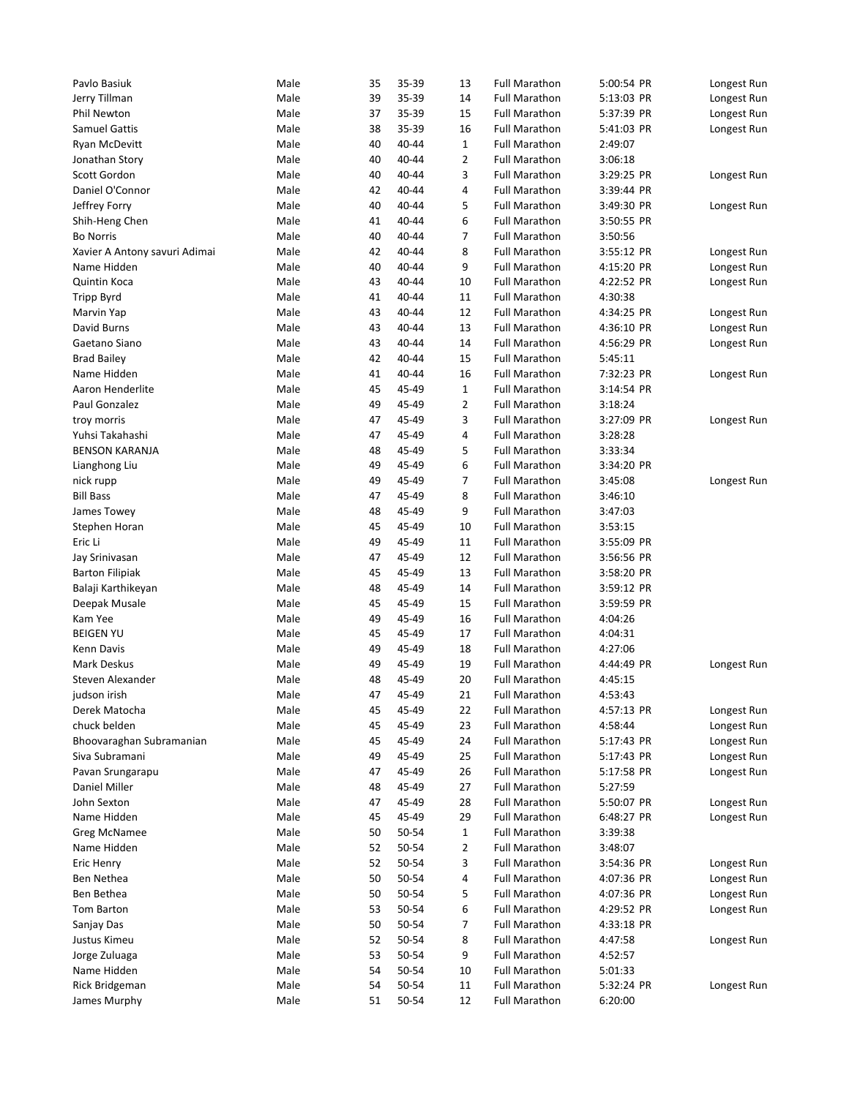| Pavlo Basiuk                  | Male | 35 | 35-39 | 13             | <b>Full Marathon</b> | 5:00:54 PR | Longest Run |
|-------------------------------|------|----|-------|----------------|----------------------|------------|-------------|
| Jerry Tillman                 | Male | 39 | 35-39 | 14             | <b>Full Marathon</b> | 5:13:03 PR | Longest Run |
| Phil Newton                   | Male | 37 | 35-39 | 15             | <b>Full Marathon</b> | 5:37:39 PR | Longest Run |
| <b>Samuel Gattis</b>          | Male | 38 | 35-39 | 16             | <b>Full Marathon</b> | 5:41:03 PR | Longest Run |
| Ryan McDevitt                 | Male | 40 | 40-44 | $\mathbf{1}$   | <b>Full Marathon</b> | 2:49:07    |             |
| Jonathan Story                | Male | 40 | 40-44 | $\overline{2}$ | <b>Full Marathon</b> | 3:06:18    |             |
| Scott Gordon                  | Male | 40 | 40-44 | 3              | <b>Full Marathon</b> | 3:29:25 PR | Longest Run |
| Daniel O'Connor               | Male | 42 | 40-44 | 4              | <b>Full Marathon</b> | 3:39:44 PR |             |
| Jeffrey Forry                 | Male | 40 | 40-44 | 5              | <b>Full Marathon</b> | 3:49:30 PR | Longest Run |
| Shih-Heng Chen                | Male | 41 | 40-44 | 6              | <b>Full Marathon</b> | 3:50:55 PR |             |
| <b>Bo Norris</b>              | Male | 40 | 40-44 | 7              | <b>Full Marathon</b> | 3:50:56    |             |
| Xavier A Antony savuri Adimai | Male | 42 | 40-44 | 8              | <b>Full Marathon</b> | 3:55:12 PR | Longest Run |
| Name Hidden                   | Male | 40 | 40-44 | 9              | <b>Full Marathon</b> | 4:15:20 PR | Longest Run |
| Quintin Koca                  | Male | 43 | 40-44 | 10             | <b>Full Marathon</b> | 4:22:52 PR | Longest Run |
| <b>Tripp Byrd</b>             | Male | 41 | 40-44 | 11             | <b>Full Marathon</b> | 4:30:38    |             |
| Marvin Yap                    | Male | 43 | 40-44 | 12             | <b>Full Marathon</b> | 4:34:25 PR | Longest Run |
| David Burns                   | Male | 43 | 40-44 | 13             | <b>Full Marathon</b> | 4:36:10 PR | Longest Run |
| Gaetano Siano                 | Male | 43 | 40-44 | 14             | <b>Full Marathon</b> | 4:56:29 PR | Longest Run |
| <b>Brad Bailey</b>            | Male | 42 | 40-44 | 15             | <b>Full Marathon</b> | 5:45:11    |             |
| Name Hidden                   | Male | 41 | 40-44 | 16             | <b>Full Marathon</b> | 7:32:23 PR | Longest Run |
| Aaron Henderlite              | Male | 45 | 45-49 | $\mathbf{1}$   | <b>Full Marathon</b> | 3:14:54 PR |             |
| Paul Gonzalez                 | Male | 49 | 45-49 | $\overline{2}$ | <b>Full Marathon</b> | 3:18:24    |             |
| troy morris                   | Male | 47 | 45-49 | 3              | <b>Full Marathon</b> | 3:27:09 PR | Longest Run |
| Yuhsi Takahashi               | Male | 47 | 45-49 | 4              | <b>Full Marathon</b> | 3:28:28    |             |
|                               | Male |    | 45-49 | 5              | <b>Full Marathon</b> | 3:33:34    |             |
| <b>BENSON KARANJA</b>         |      | 48 |       |                |                      |            |             |
| Lianghong Liu                 | Male | 49 | 45-49 | 6              | <b>Full Marathon</b> | 3:34:20 PR |             |
| nick rupp                     | Male | 49 | 45-49 | 7              | <b>Full Marathon</b> | 3:45:08    | Longest Run |
| <b>Bill Bass</b>              | Male | 47 | 45-49 | 8              | <b>Full Marathon</b> | 3:46:10    |             |
| James Towey                   | Male | 48 | 45-49 | 9              | <b>Full Marathon</b> | 3:47:03    |             |
| Stephen Horan                 | Male | 45 | 45-49 | 10             | <b>Full Marathon</b> | 3:53:15    |             |
| Eric Li                       | Male | 49 | 45-49 | 11             | <b>Full Marathon</b> | 3:55:09 PR |             |
| Jay Srinivasan                | Male | 47 | 45-49 | 12             | <b>Full Marathon</b> | 3:56:56 PR |             |
| <b>Barton Filipiak</b>        | Male | 45 | 45-49 | 13             | <b>Full Marathon</b> | 3:58:20 PR |             |
| Balaji Karthikeyan            | Male | 48 | 45-49 | 14             | <b>Full Marathon</b> | 3:59:12 PR |             |
| Deepak Musale                 | Male | 45 | 45-49 | 15             | <b>Full Marathon</b> | 3:59:59 PR |             |
| Kam Yee                       | Male | 49 | 45-49 | 16             | <b>Full Marathon</b> | 4:04:26    |             |
| <b>BEIGEN YU</b>              | Male | 45 | 45-49 | 17             | <b>Full Marathon</b> | 4:04:31    |             |
| Kenn Davis                    | Male | 49 | 45-49 | 18             | <b>Full Marathon</b> | 4:27:06    |             |
| <b>Mark Deskus</b>            | Male | 49 | 45-49 | 19             | <b>Full Marathon</b> | 4:44:49 PR | Longest Run |
| Steven Alexander              | Male | 48 | 45-49 | 20             | <b>Full Marathon</b> | 4:45:15    |             |
| judson irish                  | Male | 47 | 45-49 | 21             | <b>Full Marathon</b> | 4:53:43    |             |
| Derek Matocha                 | Male | 45 | 45-49 | 22             | <b>Full Marathon</b> | 4:57:13 PR | Longest Run |
| chuck belden                  | Male | 45 | 45-49 | 23             | <b>Full Marathon</b> | 4:58:44    | Longest Run |
| Bhoovaraghan Subramanian      | Male | 45 | 45-49 | 24             | <b>Full Marathon</b> | 5:17:43 PR | Longest Run |
| Siva Subramani                | Male | 49 | 45-49 | 25             | <b>Full Marathon</b> | 5:17:43 PR | Longest Run |
| Pavan Srungarapu              | Male | 47 | 45-49 | 26             | <b>Full Marathon</b> | 5:17:58 PR | Longest Run |
| Daniel Miller                 | Male | 48 | 45-49 | 27             | <b>Full Marathon</b> | 5:27:59    |             |
| John Sexton                   | Male | 47 | 45-49 | 28             | <b>Full Marathon</b> | 5:50:07 PR | Longest Run |
| Name Hidden                   | Male | 45 | 45-49 | 29             | <b>Full Marathon</b> | 6:48:27 PR | Longest Run |
| Greg McNamee                  | Male | 50 | 50-54 | $\mathbf{1}$   | <b>Full Marathon</b> | 3:39:38    |             |
| Name Hidden                   | Male | 52 | 50-54 | 2              | <b>Full Marathon</b> | 3:48:07    |             |
| Eric Henry                    | Male | 52 | 50-54 | 3              | <b>Full Marathon</b> | 3:54:36 PR | Longest Run |
| Ben Nethea                    | Male | 50 | 50-54 | 4              | <b>Full Marathon</b> | 4:07:36 PR | Longest Run |
| Ben Bethea                    | Male | 50 | 50-54 | 5              | <b>Full Marathon</b> | 4:07:36 PR | Longest Run |
| Tom Barton                    | Male | 53 | 50-54 | 6              | <b>Full Marathon</b> | 4:29:52 PR | Longest Run |
| Sanjay Das                    | Male | 50 | 50-54 | 7              | <b>Full Marathon</b> | 4:33:18 PR |             |
| Justus Kimeu                  | Male | 52 | 50-54 | 8              | <b>Full Marathon</b> | 4:47:58    | Longest Run |
| Jorge Zuluaga                 | Male | 53 | 50-54 | 9              | <b>Full Marathon</b> | 4:52:57    |             |
| Name Hidden                   | Male | 54 | 50-54 | 10             | <b>Full Marathon</b> | 5:01:33    |             |
| Rick Bridgeman                | Male | 54 | 50-54 | 11             | <b>Full Marathon</b> | 5:32:24 PR | Longest Run |
| James Murphy                  | Male | 51 | 50-54 | 12             | <b>Full Marathon</b> | 6:20:00    |             |